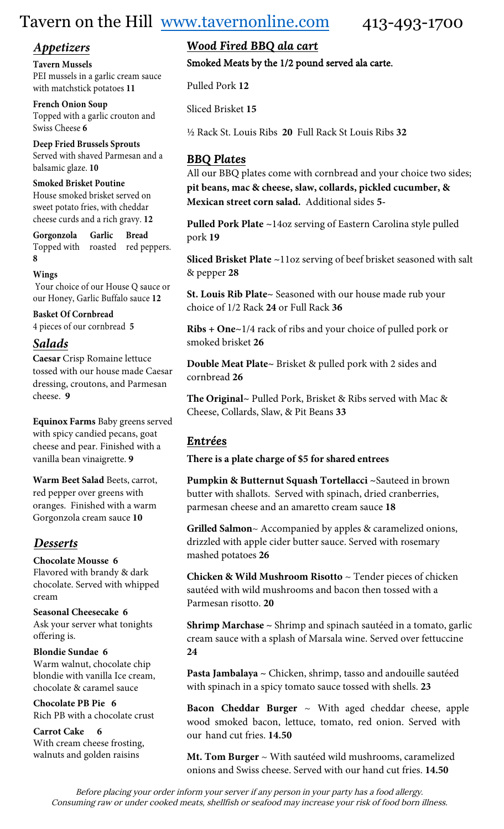# Tavern on the Hill [www.tavernonline.com](http://www.tavernonline.com/) 413-493-1700

**Tavern Mussels**  PEI mussels in a garlic cream sauce with matchstick potatoes **11**

**French Onion Soup**  Topped with a garlic crouton and Swiss Cheese **6**

**Deep Fried Brussels Sprouts** Served with shaved Parmesan and a balsamic glaze. **10**

#### **Smoked Brisket Poutine**

House smoked brisket served on sweet potato fries, with cheddar cheese curds and a rich gravy. **12**

**Gorgonzola Garlic Bread** Topped with roasted red peppers. **8** 

#### **Wings**

Your choice of our House Q sauce or our Honey, Garlic Buffalo sauce **12**

**Basket Of Cornbread** 4 pieces of our cornbread **5**

#### *Salads*

**Caesar** Crisp Romaine lettuce tossed with our house made Caesar dressing, croutons, and Parmesan cheese. **9**

**Equinox Farms** Baby greens served with spicy candied pecans, goat cheese and pear. Finished with a vanilla bean vinaigrette. **9**

**Warm Beet Salad** Beets, carrot, red pepper over greens with oranges. Finished with a warm Gorgonzola cream sauce **10**

# *Desserts*

#### **Chocolate Mousse 6**

Flavored with brandy & dark chocolate. Served with whipped cream

**Seasonal Cheesecake 6** Ask your server what tonights offering is.

#### **Blondie Sundae 6**

Warm walnut, chocolate chip blondie with vanilla Ice cream, chocolate & caramel sauce

**Chocolate PB Pie 6** Rich PB with a chocolate crust

**Carrot Cake 6**  With cream cheese frosting, walnuts and golden raisins

# *Appetizers Wood Fired BBQ ala cart*

Smoked Meats by the 1/2 pound served ala carte.

Pulled Pork **12**

Sliced Brisket **15**

½ Rack St. Louis Ribs **20** Full Rack St Louis Ribs **32**

### *BBQ Plates*

All our BBQ plates come with cornbread and your choice two sides; **pit beans, mac & cheese, slaw, collards, pickled cucumber, & Mexican street corn salad.** Additional sides **5-**

**Pulled Pork Plate ~**14oz serving of Eastern Carolina style pulled pork **19**

**Sliced Brisket Plate ~**11oz serving of beef brisket seasoned with salt & pepper **28**

**St. Louis Rib Plate~** Seasoned with our house made rub your choice of 1/2 Rack **24** or Full Rack **36**

**Ribs + One~**1/4 rack of ribs and your choice of pulled pork or smoked brisket **26**

**Double Meat Plate~** Brisket & pulled pork with 2 sides and cornbread **26**

**The Original~** Pulled Pork, Brisket & Ribs served with Mac & Cheese, Collards, Slaw, & Pit Beans **33**

# *Entrées*

**There is a plate charge of \$5 for shared entrees**

**Pumpkin & Butternut Squash Tortellacci ~**Sauteed in brown butter with shallots. Served with spinach, dried cranberries, parmesan cheese and an amaretto cream sauce **18**

**Grilled Salmon**~ Accompanied by apples & caramelized onions, drizzled with apple cider butter sauce. Served with rosemary mashed potatoes **26**

**Chicken & Wild Mushroom Risotto** ~ Tender pieces of chicken sautéed with wild mushrooms and bacon then tossed with a Parmesan risotto. **20**

**Shrimp Marchase ~** Shrimp and spinach sautéed in a tomato, garlic cream sauce with a splash of Marsala wine. Served over fettuccine **24** 

**Pasta Jambalaya ~** Chicken, shrimp, tasso and andouille sautéed with spinach in a spicy tomato sauce tossed with shells. **23** 

**Bacon Cheddar Burger** ~ With aged cheddar cheese, apple wood smoked bacon, lettuce, tomato, red onion. Served with our hand cut fries. **14.50** 

**Mt. Tom Burger** ~ With sautéed wild mushrooms, caramelized onions and Swiss cheese. Served with our hand cut fries. **14.50**